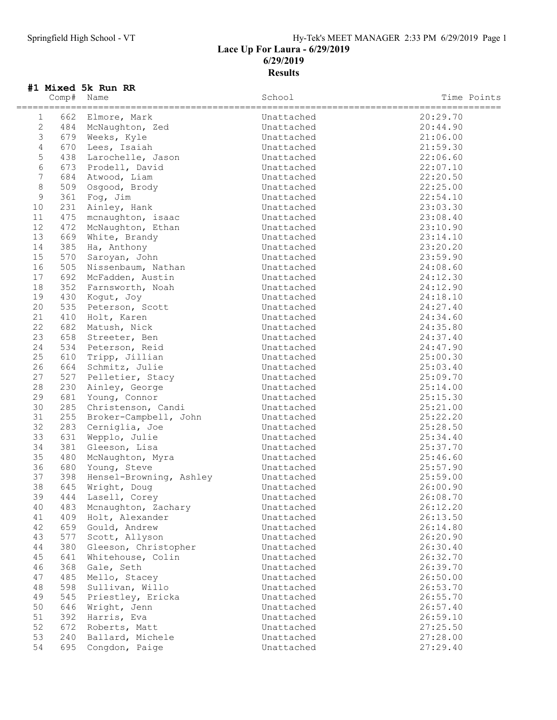### Springfield High School - VT Hy-Tek's MEET MANAGER 2:33 PM 6/29/2019 Page 1 Lace Up For Laura - 6/29/2019 6/29/2019 Results

## #1 Mixed 5k Run RR

|                 | Comp# | Name                    | School     | Time Points |
|-----------------|-------|-------------------------|------------|-------------|
| 1               | 662   | Elmore, Mark            | Unattached | 20:29.70    |
| 2               | 484   | McNaughton, Zed         | Unattached | 20:44.90    |
| $\mathfrak{Z}$  | 679   | Weeks, Kyle             | Unattached | 21:06.00    |
| $\overline{4}$  | 670   | Lees, Isaiah            | Unattached | 21:59.30    |
| $\mathsf S$     | 438   | Larochelle, Jason       | Unattached | 22:06.60    |
| 6               | 673   | Prodell, David          | Unattached | 22:07.10    |
| $7\phantom{.0}$ | 684   |                         |            |             |
| $\,8\,$         |       | Atwood, Liam            | Unattached | 22:20.50    |
| $\mathcal{G}$   | 509   | Osgood, Brody           | Unattached | 22:25.00    |
|                 | 361   | Fog, Jim                | Unattached | 22:54.10    |
| 10              | 231   | Ainley, Hank            | Unattached | 23:03.30    |
| 11              | 475   | mcnaughton, isaac       | Unattached | 23:08.40    |
| 12              | 472   | McNaughton, Ethan       | Unattached | 23:10.90    |
| 13              | 669   | White, Brandy           | Unattached | 23:14.10    |
| 14              | 385   | Ha, Anthony             | Unattached | 23:20.20    |
| 15              | 570   | Saroyan, John           | Unattached | 23:59.90    |
| 16              | 505   | Nissenbaum, Nathan      | Unattached | 24:08.60    |
| 17              | 692   | McFadden, Austin        | Unattached | 24:12.30    |
| 18              | 352   | Farnsworth, Noah        | Unattached | 24:12.90    |
| 19              | 430   | Koqut, Joy              | Unattached | 24:18.10    |
| 20              | 535   | Peterson, Scott         | Unattached | 24:27.40    |
| 21              | 410   | Holt, Karen             | Unattached | 24:34.60    |
| 22              | 682   | Matush, Nick            | Unattached | 24:35.80    |
| 23              | 658   | Streeter, Ben           | Unattached | 24:37.40    |
| 24              | 534   | Peterson, Reid          | Unattached | 24:47.90    |
| 25              | 610   | Tripp, Jillian          | Unattached | 25:00.30    |
| 26              | 664   | Schmitz, Julie          | Unattached | 25:03.40    |
| 27              | 527   | Pelletier, Stacy        | Unattached | 25:09.70    |
| 28              | 230   | Ainley, George          | Unattached | 25:14.00    |
| 29              | 681   | Young, Connor           | Unattached | 25:15.30    |
| 30              | 285   | Christenson, Candi      | Unattached | 25:21.00    |
| 31              | 255   | Broker-Campbell, John   | Unattached | 25:22.20    |
| 32              | 283   | Cerniglia, Joe          | Unattached | 25:28.50    |
| 33              | 631   | Wepplo, Julie           | Unattached | 25:34.40    |
| 34              | 381   | Gleeson, Lisa           | Unattached | 25:37.70    |
| 35              | 480   | McNaughton, Myra        | Unattached | 25:46.60    |
| 36              | 680   | Young, Steve            | Unattached | 25:57.90    |
| 37              | 398   | Hensel-Browning, Ashley | Unattached | 25:59.00    |
| 38              | 645   | Wright, Doug            | Unattached | 26:00.90    |
| 39              | 444   | Lasell, Corey           | Unattached | 26:08.70    |
| 40              | 483   | Mcnaughton, Zachary     | Unattached | 26:12.20    |
| 41              | 409   | Holt, Alexander         | Unattached | 26:13.50    |
| 42              | 659   | Gould, Andrew           | Unattached | 26:14.80    |
| 43              | 577   | Scott, Allyson          | Unattached | 26:20.90    |
| 44              | 380   | Gleeson, Christopher    | Unattached | 26:30.40    |
| 45              | 641   | Whitehouse, Colin       | Unattached | 26:32.70    |
| 46              | 368   | Gale, Seth              | Unattached | 26:39.70    |
| 47              |       |                         |            |             |
|                 | 485   | Mello, Stacey           | Unattached | 26:50.00    |
| 48              | 598   | Sullivan, Willo         | Unattached | 26:53.70    |
| 49              | 545   | Priestley, Ericka       | Unattached | 26:55.70    |
| 50              | 646   | Wright, Jenn            | Unattached | 26:57.40    |
| 51              | 392   | Harris, Eva             | Unattached | 26:59.10    |
| 52              | 672   | Roberts, Matt           | Unattached | 27:25.50    |
| 53              | 240   | Ballard, Michele        | Unattached | 27:28.00    |
| 54              | 695   | Congdon, Paige          | Unattached | 27:29.40    |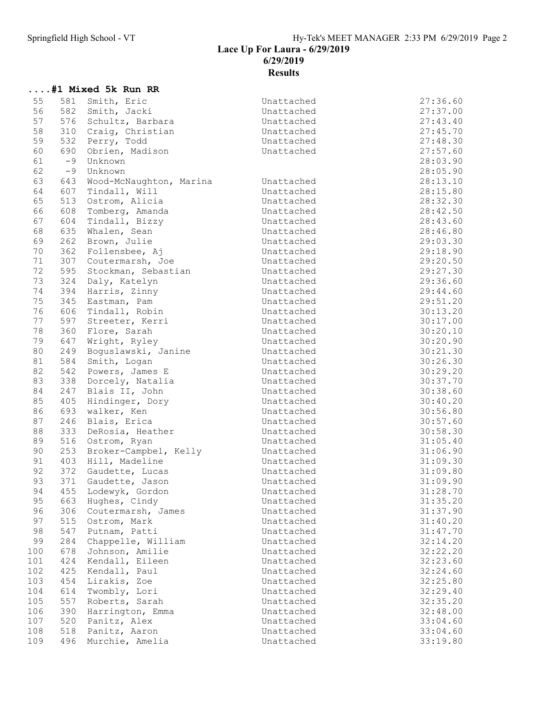#### Lace Up For Laura - 6/29/2019 6/29/2019 Results

## ....#1 Mixed 5k Run RR

| 56<br>582<br>27:37.00<br>Smith, Jacki<br>Unattached<br>57<br>576<br>27:43.40<br>Schultz, Barbara<br>Unattached<br>58<br>310<br>Craig, Christian<br>27:45.70<br>Unattached<br>59<br>532<br>Perry, Todd<br>27:48.30<br>Unattached<br>60<br>690<br>27:57.60<br>Obrien, Madison<br>Unattached<br>61<br>$-9$<br>28:03.90<br>Unknown<br>62<br>28:05.90<br>$-9$<br>Unknown<br>63<br>Wood-McNaughton, Marina<br>Unattached<br>28:13.10<br>643<br>64<br>607<br>Tindall, Will<br>Unattached<br>28:15.80<br>65<br>513<br>28:32.30<br>Ostrom, Alicia<br>Unattached<br>66<br>608<br>Tomberg, Amanda<br>28:42.50<br>Unattached<br>67<br>604<br>Tindall, Bizzy<br>Unattached<br>28:43.60<br>68<br>635<br>28:46.80<br>Unattached<br>Whalen, Sean<br>69<br>262<br>Brown, Julie<br>Unattached<br>29:03.30<br>70<br>362<br>Follensbee, Aj<br>29:18.90<br>Unattached<br>71<br>307<br>29:20.50<br>Coutermarsh, Joe<br>Unattached<br>72<br>595<br>29:27.30<br>Stockman, Sebastian<br>Unattached<br>73<br>324<br>Daly, Katelyn<br>29:36.60<br>Unattached<br>74<br>394<br>Harris, Zinny<br>29:44.60<br>Unattached<br>75<br>345<br>Eastman, Pam<br>29:51.20<br>Unattached<br>76<br>606<br>Tindall, Robin<br>30:13.20<br>Unattached<br>77<br>597<br>30:17.00<br>Streeter, Kerri<br>Unattached<br>78<br>360<br>Flore, Sarah<br>Unattached<br>30:20.10<br>79<br>647<br>30:20.90<br>Wright, Ryley<br>Unattached<br>80<br>30:21.30<br>249<br>Boguslawski, Janine<br>Unattached<br>81<br>584<br>30:26.30<br>Smith, Logan<br>Unattached<br>82<br>542<br>30:29.20<br>Powers, James E<br>Unattached<br>83<br>338<br>Dorcely, Natalia<br>30:37.70<br>Unattached<br>84<br>30:38.60<br>247<br>Blais II, John<br>Unattached<br>85<br>405<br>Hindinger, Dory<br>30:40.20<br>Unattached<br>86<br>693<br>30:56.80<br>walker, Ken<br>Unattached<br>87<br>Blais, Erica<br>30:57.60<br>246<br>Unattached<br>88<br>333<br>DeRosia, Heather<br>30:58.30<br>Unattached<br>89<br>516<br>31:05.40<br>Ostrom, Ryan<br>Unattached<br>90<br>253<br>31:06.90<br>Broker-Campbel, Kelly<br>Unattached<br>91<br>403<br>Hill, Madeline<br>Unattached<br>31:09.30<br>92<br>372<br>31:09.80<br>Unattached<br>Gaudette, Lucas<br>93<br>371<br>Gaudette, Jason<br>31:09.90<br>Unattached<br>94<br>455<br>Lodewyk, Gordon<br>Unattached<br>31:28.70<br>95<br>663<br>31:35.20<br>Hughes, Cindy<br>Unattached<br>31:37.90<br>96<br>306<br>Coutermarsh, James<br>Unattached<br>97<br>515<br>Ostrom, Mark<br>Unattached<br>31:40.20<br>98<br>547<br>31:47.70<br>Unattached<br>Putnam, Patti<br>99<br>284<br>Chappelle, William<br>32:14.20<br>Unattached<br>Johnson, Amilie<br>100<br>678<br>32:22.20<br>Unattached<br>101<br>424<br>Kendall, Eileen<br>Unattached<br>32:23.60<br>102<br>425<br>Kendall, Paul<br>Unattached<br>32:24.60<br>103<br>454<br>Lirakis, Zoe<br>Unattached<br>32:25.80<br>104<br>614<br>Twombly, Lori<br>Unattached<br>32:29.40<br>105<br>557<br>Roberts, Sarah<br>Unattached<br>32:35.20<br>390<br>106<br>Harrington, Emma<br>Unattached<br>32:48.00<br>107<br>520<br>Panitz, Alex<br>Unattached<br>33:04.60<br>108<br>518<br>Panitz, Aaron<br>Unattached<br>33:04.60<br>109<br>496<br>Murchie, Amelia<br>Unattached<br>33:19.80 | 55 | 581 | Smith, Eric | Unattached | 27:36.60 |
|------------------------------------------------------------------------------------------------------------------------------------------------------------------------------------------------------------------------------------------------------------------------------------------------------------------------------------------------------------------------------------------------------------------------------------------------------------------------------------------------------------------------------------------------------------------------------------------------------------------------------------------------------------------------------------------------------------------------------------------------------------------------------------------------------------------------------------------------------------------------------------------------------------------------------------------------------------------------------------------------------------------------------------------------------------------------------------------------------------------------------------------------------------------------------------------------------------------------------------------------------------------------------------------------------------------------------------------------------------------------------------------------------------------------------------------------------------------------------------------------------------------------------------------------------------------------------------------------------------------------------------------------------------------------------------------------------------------------------------------------------------------------------------------------------------------------------------------------------------------------------------------------------------------------------------------------------------------------------------------------------------------------------------------------------------------------------------------------------------------------------------------------------------------------------------------------------------------------------------------------------------------------------------------------------------------------------------------------------------------------------------------------------------------------------------------------------------------------------------------------------------------------------------------------------------------------------------------------------------------------------------------------------------------------------------------------------------------------------------------------------------------------------------------------------------------------------------------------------------------------------------------------------------------------------------------------------------------------------------------------------------------------------------------------------------------------------------------------------------------------------------------------------------------------------------------|----|-----|-------------|------------|----------|
|                                                                                                                                                                                                                                                                                                                                                                                                                                                                                                                                                                                                                                                                                                                                                                                                                                                                                                                                                                                                                                                                                                                                                                                                                                                                                                                                                                                                                                                                                                                                                                                                                                                                                                                                                                                                                                                                                                                                                                                                                                                                                                                                                                                                                                                                                                                                                                                                                                                                                                                                                                                                                                                                                                                                                                                                                                                                                                                                                                                                                                                                                                                                                                                          |    |     |             |            |          |
|                                                                                                                                                                                                                                                                                                                                                                                                                                                                                                                                                                                                                                                                                                                                                                                                                                                                                                                                                                                                                                                                                                                                                                                                                                                                                                                                                                                                                                                                                                                                                                                                                                                                                                                                                                                                                                                                                                                                                                                                                                                                                                                                                                                                                                                                                                                                                                                                                                                                                                                                                                                                                                                                                                                                                                                                                                                                                                                                                                                                                                                                                                                                                                                          |    |     |             |            |          |
|                                                                                                                                                                                                                                                                                                                                                                                                                                                                                                                                                                                                                                                                                                                                                                                                                                                                                                                                                                                                                                                                                                                                                                                                                                                                                                                                                                                                                                                                                                                                                                                                                                                                                                                                                                                                                                                                                                                                                                                                                                                                                                                                                                                                                                                                                                                                                                                                                                                                                                                                                                                                                                                                                                                                                                                                                                                                                                                                                                                                                                                                                                                                                                                          |    |     |             |            |          |
|                                                                                                                                                                                                                                                                                                                                                                                                                                                                                                                                                                                                                                                                                                                                                                                                                                                                                                                                                                                                                                                                                                                                                                                                                                                                                                                                                                                                                                                                                                                                                                                                                                                                                                                                                                                                                                                                                                                                                                                                                                                                                                                                                                                                                                                                                                                                                                                                                                                                                                                                                                                                                                                                                                                                                                                                                                                                                                                                                                                                                                                                                                                                                                                          |    |     |             |            |          |
|                                                                                                                                                                                                                                                                                                                                                                                                                                                                                                                                                                                                                                                                                                                                                                                                                                                                                                                                                                                                                                                                                                                                                                                                                                                                                                                                                                                                                                                                                                                                                                                                                                                                                                                                                                                                                                                                                                                                                                                                                                                                                                                                                                                                                                                                                                                                                                                                                                                                                                                                                                                                                                                                                                                                                                                                                                                                                                                                                                                                                                                                                                                                                                                          |    |     |             |            |          |
|                                                                                                                                                                                                                                                                                                                                                                                                                                                                                                                                                                                                                                                                                                                                                                                                                                                                                                                                                                                                                                                                                                                                                                                                                                                                                                                                                                                                                                                                                                                                                                                                                                                                                                                                                                                                                                                                                                                                                                                                                                                                                                                                                                                                                                                                                                                                                                                                                                                                                                                                                                                                                                                                                                                                                                                                                                                                                                                                                                                                                                                                                                                                                                                          |    |     |             |            |          |
|                                                                                                                                                                                                                                                                                                                                                                                                                                                                                                                                                                                                                                                                                                                                                                                                                                                                                                                                                                                                                                                                                                                                                                                                                                                                                                                                                                                                                                                                                                                                                                                                                                                                                                                                                                                                                                                                                                                                                                                                                                                                                                                                                                                                                                                                                                                                                                                                                                                                                                                                                                                                                                                                                                                                                                                                                                                                                                                                                                                                                                                                                                                                                                                          |    |     |             |            |          |
|                                                                                                                                                                                                                                                                                                                                                                                                                                                                                                                                                                                                                                                                                                                                                                                                                                                                                                                                                                                                                                                                                                                                                                                                                                                                                                                                                                                                                                                                                                                                                                                                                                                                                                                                                                                                                                                                                                                                                                                                                                                                                                                                                                                                                                                                                                                                                                                                                                                                                                                                                                                                                                                                                                                                                                                                                                                                                                                                                                                                                                                                                                                                                                                          |    |     |             |            |          |
|                                                                                                                                                                                                                                                                                                                                                                                                                                                                                                                                                                                                                                                                                                                                                                                                                                                                                                                                                                                                                                                                                                                                                                                                                                                                                                                                                                                                                                                                                                                                                                                                                                                                                                                                                                                                                                                                                                                                                                                                                                                                                                                                                                                                                                                                                                                                                                                                                                                                                                                                                                                                                                                                                                                                                                                                                                                                                                                                                                                                                                                                                                                                                                                          |    |     |             |            |          |
|                                                                                                                                                                                                                                                                                                                                                                                                                                                                                                                                                                                                                                                                                                                                                                                                                                                                                                                                                                                                                                                                                                                                                                                                                                                                                                                                                                                                                                                                                                                                                                                                                                                                                                                                                                                                                                                                                                                                                                                                                                                                                                                                                                                                                                                                                                                                                                                                                                                                                                                                                                                                                                                                                                                                                                                                                                                                                                                                                                                                                                                                                                                                                                                          |    |     |             |            |          |
|                                                                                                                                                                                                                                                                                                                                                                                                                                                                                                                                                                                                                                                                                                                                                                                                                                                                                                                                                                                                                                                                                                                                                                                                                                                                                                                                                                                                                                                                                                                                                                                                                                                                                                                                                                                                                                                                                                                                                                                                                                                                                                                                                                                                                                                                                                                                                                                                                                                                                                                                                                                                                                                                                                                                                                                                                                                                                                                                                                                                                                                                                                                                                                                          |    |     |             |            |          |
|                                                                                                                                                                                                                                                                                                                                                                                                                                                                                                                                                                                                                                                                                                                                                                                                                                                                                                                                                                                                                                                                                                                                                                                                                                                                                                                                                                                                                                                                                                                                                                                                                                                                                                                                                                                                                                                                                                                                                                                                                                                                                                                                                                                                                                                                                                                                                                                                                                                                                                                                                                                                                                                                                                                                                                                                                                                                                                                                                                                                                                                                                                                                                                                          |    |     |             |            |          |
|                                                                                                                                                                                                                                                                                                                                                                                                                                                                                                                                                                                                                                                                                                                                                                                                                                                                                                                                                                                                                                                                                                                                                                                                                                                                                                                                                                                                                                                                                                                                                                                                                                                                                                                                                                                                                                                                                                                                                                                                                                                                                                                                                                                                                                                                                                                                                                                                                                                                                                                                                                                                                                                                                                                                                                                                                                                                                                                                                                                                                                                                                                                                                                                          |    |     |             |            |          |
|                                                                                                                                                                                                                                                                                                                                                                                                                                                                                                                                                                                                                                                                                                                                                                                                                                                                                                                                                                                                                                                                                                                                                                                                                                                                                                                                                                                                                                                                                                                                                                                                                                                                                                                                                                                                                                                                                                                                                                                                                                                                                                                                                                                                                                                                                                                                                                                                                                                                                                                                                                                                                                                                                                                                                                                                                                                                                                                                                                                                                                                                                                                                                                                          |    |     |             |            |          |
|                                                                                                                                                                                                                                                                                                                                                                                                                                                                                                                                                                                                                                                                                                                                                                                                                                                                                                                                                                                                                                                                                                                                                                                                                                                                                                                                                                                                                                                                                                                                                                                                                                                                                                                                                                                                                                                                                                                                                                                                                                                                                                                                                                                                                                                                                                                                                                                                                                                                                                                                                                                                                                                                                                                                                                                                                                                                                                                                                                                                                                                                                                                                                                                          |    |     |             |            |          |
|                                                                                                                                                                                                                                                                                                                                                                                                                                                                                                                                                                                                                                                                                                                                                                                                                                                                                                                                                                                                                                                                                                                                                                                                                                                                                                                                                                                                                                                                                                                                                                                                                                                                                                                                                                                                                                                                                                                                                                                                                                                                                                                                                                                                                                                                                                                                                                                                                                                                                                                                                                                                                                                                                                                                                                                                                                                                                                                                                                                                                                                                                                                                                                                          |    |     |             |            |          |
|                                                                                                                                                                                                                                                                                                                                                                                                                                                                                                                                                                                                                                                                                                                                                                                                                                                                                                                                                                                                                                                                                                                                                                                                                                                                                                                                                                                                                                                                                                                                                                                                                                                                                                                                                                                                                                                                                                                                                                                                                                                                                                                                                                                                                                                                                                                                                                                                                                                                                                                                                                                                                                                                                                                                                                                                                                                                                                                                                                                                                                                                                                                                                                                          |    |     |             |            |          |
|                                                                                                                                                                                                                                                                                                                                                                                                                                                                                                                                                                                                                                                                                                                                                                                                                                                                                                                                                                                                                                                                                                                                                                                                                                                                                                                                                                                                                                                                                                                                                                                                                                                                                                                                                                                                                                                                                                                                                                                                                                                                                                                                                                                                                                                                                                                                                                                                                                                                                                                                                                                                                                                                                                                                                                                                                                                                                                                                                                                                                                                                                                                                                                                          |    |     |             |            |          |
|                                                                                                                                                                                                                                                                                                                                                                                                                                                                                                                                                                                                                                                                                                                                                                                                                                                                                                                                                                                                                                                                                                                                                                                                                                                                                                                                                                                                                                                                                                                                                                                                                                                                                                                                                                                                                                                                                                                                                                                                                                                                                                                                                                                                                                                                                                                                                                                                                                                                                                                                                                                                                                                                                                                                                                                                                                                                                                                                                                                                                                                                                                                                                                                          |    |     |             |            |          |
|                                                                                                                                                                                                                                                                                                                                                                                                                                                                                                                                                                                                                                                                                                                                                                                                                                                                                                                                                                                                                                                                                                                                                                                                                                                                                                                                                                                                                                                                                                                                                                                                                                                                                                                                                                                                                                                                                                                                                                                                                                                                                                                                                                                                                                                                                                                                                                                                                                                                                                                                                                                                                                                                                                                                                                                                                                                                                                                                                                                                                                                                                                                                                                                          |    |     |             |            |          |
|                                                                                                                                                                                                                                                                                                                                                                                                                                                                                                                                                                                                                                                                                                                                                                                                                                                                                                                                                                                                                                                                                                                                                                                                                                                                                                                                                                                                                                                                                                                                                                                                                                                                                                                                                                                                                                                                                                                                                                                                                                                                                                                                                                                                                                                                                                                                                                                                                                                                                                                                                                                                                                                                                                                                                                                                                                                                                                                                                                                                                                                                                                                                                                                          |    |     |             |            |          |
|                                                                                                                                                                                                                                                                                                                                                                                                                                                                                                                                                                                                                                                                                                                                                                                                                                                                                                                                                                                                                                                                                                                                                                                                                                                                                                                                                                                                                                                                                                                                                                                                                                                                                                                                                                                                                                                                                                                                                                                                                                                                                                                                                                                                                                                                                                                                                                                                                                                                                                                                                                                                                                                                                                                                                                                                                                                                                                                                                                                                                                                                                                                                                                                          |    |     |             |            |          |
|                                                                                                                                                                                                                                                                                                                                                                                                                                                                                                                                                                                                                                                                                                                                                                                                                                                                                                                                                                                                                                                                                                                                                                                                                                                                                                                                                                                                                                                                                                                                                                                                                                                                                                                                                                                                                                                                                                                                                                                                                                                                                                                                                                                                                                                                                                                                                                                                                                                                                                                                                                                                                                                                                                                                                                                                                                                                                                                                                                                                                                                                                                                                                                                          |    |     |             |            |          |
|                                                                                                                                                                                                                                                                                                                                                                                                                                                                                                                                                                                                                                                                                                                                                                                                                                                                                                                                                                                                                                                                                                                                                                                                                                                                                                                                                                                                                                                                                                                                                                                                                                                                                                                                                                                                                                                                                                                                                                                                                                                                                                                                                                                                                                                                                                                                                                                                                                                                                                                                                                                                                                                                                                                                                                                                                                                                                                                                                                                                                                                                                                                                                                                          |    |     |             |            |          |
|                                                                                                                                                                                                                                                                                                                                                                                                                                                                                                                                                                                                                                                                                                                                                                                                                                                                                                                                                                                                                                                                                                                                                                                                                                                                                                                                                                                                                                                                                                                                                                                                                                                                                                                                                                                                                                                                                                                                                                                                                                                                                                                                                                                                                                                                                                                                                                                                                                                                                                                                                                                                                                                                                                                                                                                                                                                                                                                                                                                                                                                                                                                                                                                          |    |     |             |            |          |
|                                                                                                                                                                                                                                                                                                                                                                                                                                                                                                                                                                                                                                                                                                                                                                                                                                                                                                                                                                                                                                                                                                                                                                                                                                                                                                                                                                                                                                                                                                                                                                                                                                                                                                                                                                                                                                                                                                                                                                                                                                                                                                                                                                                                                                                                                                                                                                                                                                                                                                                                                                                                                                                                                                                                                                                                                                                                                                                                                                                                                                                                                                                                                                                          |    |     |             |            |          |
|                                                                                                                                                                                                                                                                                                                                                                                                                                                                                                                                                                                                                                                                                                                                                                                                                                                                                                                                                                                                                                                                                                                                                                                                                                                                                                                                                                                                                                                                                                                                                                                                                                                                                                                                                                                                                                                                                                                                                                                                                                                                                                                                                                                                                                                                                                                                                                                                                                                                                                                                                                                                                                                                                                                                                                                                                                                                                                                                                                                                                                                                                                                                                                                          |    |     |             |            |          |
|                                                                                                                                                                                                                                                                                                                                                                                                                                                                                                                                                                                                                                                                                                                                                                                                                                                                                                                                                                                                                                                                                                                                                                                                                                                                                                                                                                                                                                                                                                                                                                                                                                                                                                                                                                                                                                                                                                                                                                                                                                                                                                                                                                                                                                                                                                                                                                                                                                                                                                                                                                                                                                                                                                                                                                                                                                                                                                                                                                                                                                                                                                                                                                                          |    |     |             |            |          |
|                                                                                                                                                                                                                                                                                                                                                                                                                                                                                                                                                                                                                                                                                                                                                                                                                                                                                                                                                                                                                                                                                                                                                                                                                                                                                                                                                                                                                                                                                                                                                                                                                                                                                                                                                                                                                                                                                                                                                                                                                                                                                                                                                                                                                                                                                                                                                                                                                                                                                                                                                                                                                                                                                                                                                                                                                                                                                                                                                                                                                                                                                                                                                                                          |    |     |             |            |          |
|                                                                                                                                                                                                                                                                                                                                                                                                                                                                                                                                                                                                                                                                                                                                                                                                                                                                                                                                                                                                                                                                                                                                                                                                                                                                                                                                                                                                                                                                                                                                                                                                                                                                                                                                                                                                                                                                                                                                                                                                                                                                                                                                                                                                                                                                                                                                                                                                                                                                                                                                                                                                                                                                                                                                                                                                                                                                                                                                                                                                                                                                                                                                                                                          |    |     |             |            |          |
|                                                                                                                                                                                                                                                                                                                                                                                                                                                                                                                                                                                                                                                                                                                                                                                                                                                                                                                                                                                                                                                                                                                                                                                                                                                                                                                                                                                                                                                                                                                                                                                                                                                                                                                                                                                                                                                                                                                                                                                                                                                                                                                                                                                                                                                                                                                                                                                                                                                                                                                                                                                                                                                                                                                                                                                                                                                                                                                                                                                                                                                                                                                                                                                          |    |     |             |            |          |
|                                                                                                                                                                                                                                                                                                                                                                                                                                                                                                                                                                                                                                                                                                                                                                                                                                                                                                                                                                                                                                                                                                                                                                                                                                                                                                                                                                                                                                                                                                                                                                                                                                                                                                                                                                                                                                                                                                                                                                                                                                                                                                                                                                                                                                                                                                                                                                                                                                                                                                                                                                                                                                                                                                                                                                                                                                                                                                                                                                                                                                                                                                                                                                                          |    |     |             |            |          |
|                                                                                                                                                                                                                                                                                                                                                                                                                                                                                                                                                                                                                                                                                                                                                                                                                                                                                                                                                                                                                                                                                                                                                                                                                                                                                                                                                                                                                                                                                                                                                                                                                                                                                                                                                                                                                                                                                                                                                                                                                                                                                                                                                                                                                                                                                                                                                                                                                                                                                                                                                                                                                                                                                                                                                                                                                                                                                                                                                                                                                                                                                                                                                                                          |    |     |             |            |          |
|                                                                                                                                                                                                                                                                                                                                                                                                                                                                                                                                                                                                                                                                                                                                                                                                                                                                                                                                                                                                                                                                                                                                                                                                                                                                                                                                                                                                                                                                                                                                                                                                                                                                                                                                                                                                                                                                                                                                                                                                                                                                                                                                                                                                                                                                                                                                                                                                                                                                                                                                                                                                                                                                                                                                                                                                                                                                                                                                                                                                                                                                                                                                                                                          |    |     |             |            |          |
|                                                                                                                                                                                                                                                                                                                                                                                                                                                                                                                                                                                                                                                                                                                                                                                                                                                                                                                                                                                                                                                                                                                                                                                                                                                                                                                                                                                                                                                                                                                                                                                                                                                                                                                                                                                                                                                                                                                                                                                                                                                                                                                                                                                                                                                                                                                                                                                                                                                                                                                                                                                                                                                                                                                                                                                                                                                                                                                                                                                                                                                                                                                                                                                          |    |     |             |            |          |
|                                                                                                                                                                                                                                                                                                                                                                                                                                                                                                                                                                                                                                                                                                                                                                                                                                                                                                                                                                                                                                                                                                                                                                                                                                                                                                                                                                                                                                                                                                                                                                                                                                                                                                                                                                                                                                                                                                                                                                                                                                                                                                                                                                                                                                                                                                                                                                                                                                                                                                                                                                                                                                                                                                                                                                                                                                                                                                                                                                                                                                                                                                                                                                                          |    |     |             |            |          |
|                                                                                                                                                                                                                                                                                                                                                                                                                                                                                                                                                                                                                                                                                                                                                                                                                                                                                                                                                                                                                                                                                                                                                                                                                                                                                                                                                                                                                                                                                                                                                                                                                                                                                                                                                                                                                                                                                                                                                                                                                                                                                                                                                                                                                                                                                                                                                                                                                                                                                                                                                                                                                                                                                                                                                                                                                                                                                                                                                                                                                                                                                                                                                                                          |    |     |             |            |          |
|                                                                                                                                                                                                                                                                                                                                                                                                                                                                                                                                                                                                                                                                                                                                                                                                                                                                                                                                                                                                                                                                                                                                                                                                                                                                                                                                                                                                                                                                                                                                                                                                                                                                                                                                                                                                                                                                                                                                                                                                                                                                                                                                                                                                                                                                                                                                                                                                                                                                                                                                                                                                                                                                                                                                                                                                                                                                                                                                                                                                                                                                                                                                                                                          |    |     |             |            |          |
|                                                                                                                                                                                                                                                                                                                                                                                                                                                                                                                                                                                                                                                                                                                                                                                                                                                                                                                                                                                                                                                                                                                                                                                                                                                                                                                                                                                                                                                                                                                                                                                                                                                                                                                                                                                                                                                                                                                                                                                                                                                                                                                                                                                                                                                                                                                                                                                                                                                                                                                                                                                                                                                                                                                                                                                                                                                                                                                                                                                                                                                                                                                                                                                          |    |     |             |            |          |
|                                                                                                                                                                                                                                                                                                                                                                                                                                                                                                                                                                                                                                                                                                                                                                                                                                                                                                                                                                                                                                                                                                                                                                                                                                                                                                                                                                                                                                                                                                                                                                                                                                                                                                                                                                                                                                                                                                                                                                                                                                                                                                                                                                                                                                                                                                                                                                                                                                                                                                                                                                                                                                                                                                                                                                                                                                                                                                                                                                                                                                                                                                                                                                                          |    |     |             |            |          |
|                                                                                                                                                                                                                                                                                                                                                                                                                                                                                                                                                                                                                                                                                                                                                                                                                                                                                                                                                                                                                                                                                                                                                                                                                                                                                                                                                                                                                                                                                                                                                                                                                                                                                                                                                                                                                                                                                                                                                                                                                                                                                                                                                                                                                                                                                                                                                                                                                                                                                                                                                                                                                                                                                                                                                                                                                                                                                                                                                                                                                                                                                                                                                                                          |    |     |             |            |          |
|                                                                                                                                                                                                                                                                                                                                                                                                                                                                                                                                                                                                                                                                                                                                                                                                                                                                                                                                                                                                                                                                                                                                                                                                                                                                                                                                                                                                                                                                                                                                                                                                                                                                                                                                                                                                                                                                                                                                                                                                                                                                                                                                                                                                                                                                                                                                                                                                                                                                                                                                                                                                                                                                                                                                                                                                                                                                                                                                                                                                                                                                                                                                                                                          |    |     |             |            |          |
|                                                                                                                                                                                                                                                                                                                                                                                                                                                                                                                                                                                                                                                                                                                                                                                                                                                                                                                                                                                                                                                                                                                                                                                                                                                                                                                                                                                                                                                                                                                                                                                                                                                                                                                                                                                                                                                                                                                                                                                                                                                                                                                                                                                                                                                                                                                                                                                                                                                                                                                                                                                                                                                                                                                                                                                                                                                                                                                                                                                                                                                                                                                                                                                          |    |     |             |            |          |
|                                                                                                                                                                                                                                                                                                                                                                                                                                                                                                                                                                                                                                                                                                                                                                                                                                                                                                                                                                                                                                                                                                                                                                                                                                                                                                                                                                                                                                                                                                                                                                                                                                                                                                                                                                                                                                                                                                                                                                                                                                                                                                                                                                                                                                                                                                                                                                                                                                                                                                                                                                                                                                                                                                                                                                                                                                                                                                                                                                                                                                                                                                                                                                                          |    |     |             |            |          |
|                                                                                                                                                                                                                                                                                                                                                                                                                                                                                                                                                                                                                                                                                                                                                                                                                                                                                                                                                                                                                                                                                                                                                                                                                                                                                                                                                                                                                                                                                                                                                                                                                                                                                                                                                                                                                                                                                                                                                                                                                                                                                                                                                                                                                                                                                                                                                                                                                                                                                                                                                                                                                                                                                                                                                                                                                                                                                                                                                                                                                                                                                                                                                                                          |    |     |             |            |          |
|                                                                                                                                                                                                                                                                                                                                                                                                                                                                                                                                                                                                                                                                                                                                                                                                                                                                                                                                                                                                                                                                                                                                                                                                                                                                                                                                                                                                                                                                                                                                                                                                                                                                                                                                                                                                                                                                                                                                                                                                                                                                                                                                                                                                                                                                                                                                                                                                                                                                                                                                                                                                                                                                                                                                                                                                                                                                                                                                                                                                                                                                                                                                                                                          |    |     |             |            |          |
|                                                                                                                                                                                                                                                                                                                                                                                                                                                                                                                                                                                                                                                                                                                                                                                                                                                                                                                                                                                                                                                                                                                                                                                                                                                                                                                                                                                                                                                                                                                                                                                                                                                                                                                                                                                                                                                                                                                                                                                                                                                                                                                                                                                                                                                                                                                                                                                                                                                                                                                                                                                                                                                                                                                                                                                                                                                                                                                                                                                                                                                                                                                                                                                          |    |     |             |            |          |
|                                                                                                                                                                                                                                                                                                                                                                                                                                                                                                                                                                                                                                                                                                                                                                                                                                                                                                                                                                                                                                                                                                                                                                                                                                                                                                                                                                                                                                                                                                                                                                                                                                                                                                                                                                                                                                                                                                                                                                                                                                                                                                                                                                                                                                                                                                                                                                                                                                                                                                                                                                                                                                                                                                                                                                                                                                                                                                                                                                                                                                                                                                                                                                                          |    |     |             |            |          |
|                                                                                                                                                                                                                                                                                                                                                                                                                                                                                                                                                                                                                                                                                                                                                                                                                                                                                                                                                                                                                                                                                                                                                                                                                                                                                                                                                                                                                                                                                                                                                                                                                                                                                                                                                                                                                                                                                                                                                                                                                                                                                                                                                                                                                                                                                                                                                                                                                                                                                                                                                                                                                                                                                                                                                                                                                                                                                                                                                                                                                                                                                                                                                                                          |    |     |             |            |          |
|                                                                                                                                                                                                                                                                                                                                                                                                                                                                                                                                                                                                                                                                                                                                                                                                                                                                                                                                                                                                                                                                                                                                                                                                                                                                                                                                                                                                                                                                                                                                                                                                                                                                                                                                                                                                                                                                                                                                                                                                                                                                                                                                                                                                                                                                                                                                                                                                                                                                                                                                                                                                                                                                                                                                                                                                                                                                                                                                                                                                                                                                                                                                                                                          |    |     |             |            |          |
|                                                                                                                                                                                                                                                                                                                                                                                                                                                                                                                                                                                                                                                                                                                                                                                                                                                                                                                                                                                                                                                                                                                                                                                                                                                                                                                                                                                                                                                                                                                                                                                                                                                                                                                                                                                                                                                                                                                                                                                                                                                                                                                                                                                                                                                                                                                                                                                                                                                                                                                                                                                                                                                                                                                                                                                                                                                                                                                                                                                                                                                                                                                                                                                          |    |     |             |            |          |
|                                                                                                                                                                                                                                                                                                                                                                                                                                                                                                                                                                                                                                                                                                                                                                                                                                                                                                                                                                                                                                                                                                                                                                                                                                                                                                                                                                                                                                                                                                                                                                                                                                                                                                                                                                                                                                                                                                                                                                                                                                                                                                                                                                                                                                                                                                                                                                                                                                                                                                                                                                                                                                                                                                                                                                                                                                                                                                                                                                                                                                                                                                                                                                                          |    |     |             |            |          |
|                                                                                                                                                                                                                                                                                                                                                                                                                                                                                                                                                                                                                                                                                                                                                                                                                                                                                                                                                                                                                                                                                                                                                                                                                                                                                                                                                                                                                                                                                                                                                                                                                                                                                                                                                                                                                                                                                                                                                                                                                                                                                                                                                                                                                                                                                                                                                                                                                                                                                                                                                                                                                                                                                                                                                                                                                                                                                                                                                                                                                                                                                                                                                                                          |    |     |             |            |          |
|                                                                                                                                                                                                                                                                                                                                                                                                                                                                                                                                                                                                                                                                                                                                                                                                                                                                                                                                                                                                                                                                                                                                                                                                                                                                                                                                                                                                                                                                                                                                                                                                                                                                                                                                                                                                                                                                                                                                                                                                                                                                                                                                                                                                                                                                                                                                                                                                                                                                                                                                                                                                                                                                                                                                                                                                                                                                                                                                                                                                                                                                                                                                                                                          |    |     |             |            |          |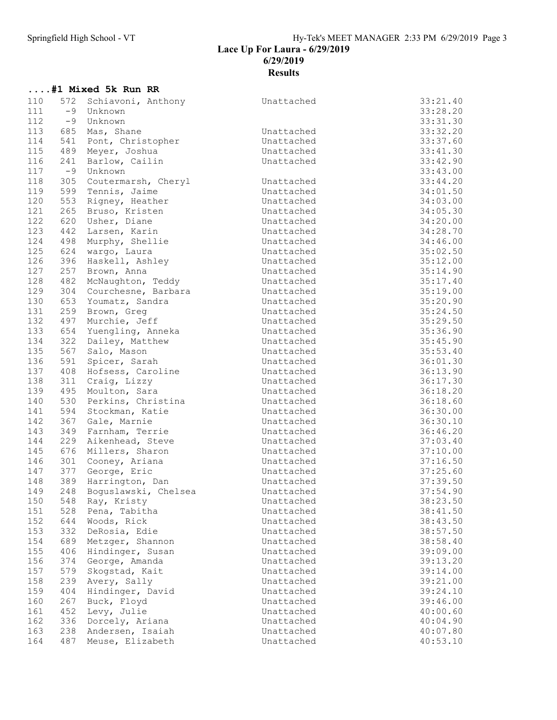....#1 Mixed 5k Run RR

Lace Up For Laura - 6/29/2019 6/29/2019

## Results

| 110 | 572  | Schiavoni, Anthony   | Unattached | 33:21.40 |
|-----|------|----------------------|------------|----------|
| 111 | $-9$ | Unknown              |            | 33:28.20 |
| 112 | -9   | Unknown              |            | 33:31.30 |
| 113 | 685  | Mas, Shane           | Unattached | 33:32.20 |
| 114 | 541  | Pont, Christopher    | Unattached | 33:37.60 |
| 115 | 489  | Meyer, Joshua        | Unattached | 33:41.30 |
| 116 | 241  | Barlow, Cailin       | Unattached | 33:42.90 |
| 117 | $-9$ | Unknown              |            | 33:43.00 |
| 118 | 305  | Coutermarsh, Cheryl  | Unattached | 33:44.20 |
| 119 | 599  | Tennis, Jaime        | Unattached | 34:01.50 |
| 120 | 553  | Rigney, Heather      | Unattached | 34:03.00 |
| 121 | 265  | Bruso, Kristen       | Unattached | 34:05.30 |
| 122 | 620  | Usher, Diane         | Unattached | 34:20.00 |
| 123 | 442  | Larsen, Karin        | Unattached | 34:28.70 |
| 124 | 498  | Murphy, Shellie      | Unattached | 34:46.00 |
| 125 | 624  | wargo, Laura         | Unattached | 35:02.50 |
| 126 | 396  | Haskell, Ashley      | Unattached | 35:12.00 |
| 127 | 257  | Brown, Anna          | Unattached | 35:14.90 |
| 128 | 482  | McNaughton, Teddy    | Unattached | 35:17.40 |
| 129 | 304  | Courchesne, Barbara  | Unattached | 35:19.00 |
| 130 | 653  | Youmatz, Sandra      | Unattached | 35:20.90 |
| 131 | 259  | Brown, Greg          | Unattached | 35:24.50 |
| 132 | 497  | Murchie, Jeff        | Unattached | 35:29.50 |
| 133 | 654  | Yuengling, Anneka    | Unattached | 35:36.90 |
| 134 | 322  | Dailey, Matthew      | Unattached | 35:45.90 |
| 135 | 567  | Salo, Mason          | Unattached | 35:53.40 |
| 136 | 591  | Spicer, Sarah        | Unattached | 36:01.30 |
| 137 | 408  | Hofsess, Caroline    | Unattached | 36:13.90 |
| 138 | 311  | Craig, Lizzy         | Unattached | 36:17.30 |
| 139 | 495  | Moulton, Sara        | Unattached | 36:18.20 |
| 140 | 530  | Perkins, Christina   | Unattached | 36:18.60 |
| 141 | 594  | Stockman, Katie      | Unattached | 36:30.00 |
| 142 | 367  | Gale, Marnie         | Unattached | 36:30.10 |
| 143 | 349  | Farnham, Terrie      | Unattached | 36:46.20 |
| 144 | 229  | Aikenhead, Steve     | Unattached | 37:03.40 |
| 145 | 676  | Millers, Sharon      | Unattached | 37:10.00 |
| 146 | 301  | Cooney, Ariana       | Unattached | 37:16.50 |
| 147 | 377  | George, Eric         | Unattached | 37:25.60 |
| 148 | 389  | Harrington, Dan      | Unattached | 37:39.50 |
| 149 | 248  | Boquslawski, Chelsea | Unattached | 37:54.90 |
| 150 | 548  | Ray, Kristy          | Unattached | 38:23.50 |
| 151 | 528  | Pena, Tabitha        | Unattached | 38:41.50 |
| 152 | 644  | Woods, Rick          | Unattached | 38:43.50 |
| 153 | 332  | DeRosia, Edie        | Unattached | 38:57.50 |
| 154 | 689  | Metzger, Shannon     | Unattached | 38:58.40 |
| 155 | 406  | Hindinger, Susan     | Unattached | 39:09.00 |
| 156 | 374  | George, Amanda       | Unattached | 39:13.20 |
| 157 | 579  | Skogstad, Kait       | Unattached | 39:14.00 |
| 158 | 239  | Avery, Sally         | Unattached | 39:21.00 |
| 159 | 404  | Hindinger, David     | Unattached | 39:24.10 |
| 160 | 267  | Buck, Floyd          | Unattached | 39:46.00 |
| 161 | 452  | Levy, Julie          | Unattached | 40:00.60 |
| 162 | 336  | Dorcely, Ariana      | Unattached | 40:04.90 |
| 163 | 238  | Andersen, Isaiah     | Unattached | 40:07.80 |
| 164 | 487  | Meuse, Elizabeth     | Unattached | 40:53.10 |
|     |      |                      |            |          |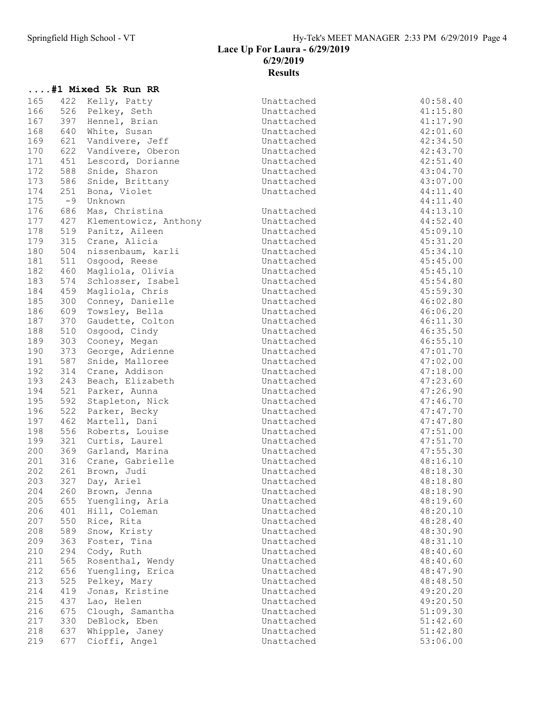# .... #1 Mixed 5k Run RR<br>165 422 Kelly, Patty

| 165 |      | 422 Kelly, Patty      | Unattached | 40:58.40 |
|-----|------|-----------------------|------------|----------|
| 166 |      | 526 Pelkey, Seth      | Unattached | 41:15.80 |
|     |      |                       |            |          |
| 167 | 397  | Hennel, Brian         | Unattached | 41:17.90 |
| 168 | 640  | White, Susan          | Unattached | 42:01.60 |
| 169 | 621  | Vandivere, Jeff       | Unattached | 42:34.50 |
| 170 | 622  | Vandivere, Oberon     | Unattached | 42:43.70 |
| 171 | 451  | Lescord, Dorianne     | Unattached | 42:51.40 |
| 172 | 588  | Snide, Sharon         | Unattached | 43:04.70 |
| 173 | 586  | Snide, Brittany       | Unattached | 43:07.00 |
| 174 | 251  | Bona, Violet          | Unattached | 44:11.40 |
| 175 | $-9$ | Unknown               |            | 44:11.40 |
| 176 | 686  | Mas, Christina        | Unattached | 44:13.10 |
| 177 | 427  | Klementowicz, Anthony | Unattached | 44:52.40 |
| 178 | 519  | Panitz, Aileen        | Unattached | 45:09.10 |
| 179 | 315  | Crane, Alicia         | Unattached | 45:31.20 |
| 180 | 504  | nissenbaum, karli     | Unattached | 45:34.10 |
| 181 | 511  | Osgood, Reese         | Unattached | 45:45.00 |
| 182 | 460  | Magliola, Olivia      | Unattached | 45:45.10 |
| 183 | 574  | Schlosser, Isabel     | Unattached | 45:54.80 |
| 184 | 459  | Magliola, Chris       | Unattached | 45:59.30 |
|     |      |                       | Unattached |          |
| 185 | 300  | Conney, Danielle      |            | 46:02.80 |
| 186 | 609  | Towsley, Bella        | Unattached | 46:06.20 |
| 187 | 370  | Gaudette, Colton      | Unattached | 46:11.30 |
| 188 | 510  | Osgood, Cindy         | Unattached | 46:35.50 |
| 189 | 303  | Cooney, Megan         | Unattached | 46:55.10 |
| 190 | 373  | George, Adrienne      | Unattached | 47:01.70 |
| 191 | 587  | Snide, Malloree       | Unattached | 47:02.00 |
| 192 | 314  | Crane, Addison        | Unattached | 47:18.00 |
| 193 | 243  | Beach, Elizabeth      | Unattached | 47:23.60 |
| 194 | 521  | Parker, Aunna         | Unattached | 47:26.90 |
| 195 | 592  | Stapleton, Nick       | Unattached | 47:46.70 |
| 196 | 522  | Parker, Becky         | Unattached | 47:47.70 |
| 197 | 462  | Martell, Dani         | Unattached | 47:47.80 |
| 198 | 556  | Roberts, Louise       | Unattached | 47:51.00 |
| 199 | 321  | Curtis, Laurel        | Unattached | 47:51.70 |
| 200 | 369  | Garland, Marina       | Unattached | 47:55.30 |
| 201 | 316  | Crane, Gabrielle      | Unattached | 48:16.10 |
| 202 | 261  | Brown, Judi           | Unattached | 48:18.30 |
| 203 | 327  | Day, Ariel            | Unattached | 48:18.80 |
| 204 | 260  | Brown, Jenna          | Unattached | 48:18.90 |
| 205 |      | 655 Yuengling, Aria   |            | 48:19.60 |
|     |      |                       | Unattached |          |
| 206 | 401  | Hill, Coleman         | Unattached | 48:20.10 |
| 207 | 550  | Rice, Rita            | Unattached | 48:28.40 |
| 208 | 589  | Snow, Kristy          | Unattached | 48:30.90 |
| 209 | 363  | Foster, Tina          | Unattached | 48:31.10 |
| 210 | 294  | Cody, Ruth            | Unattached | 48:40.60 |
| 211 | 565  | Rosenthal, Wendy      | Unattached | 48:40.60 |
| 212 | 656  | Yuengling, Erica      | Unattached | 48:47.90 |
| 213 | 525  | Pelkey, Mary          | Unattached | 48:48.50 |
| 214 | 419  | Jonas, Kristine       | Unattached | 49:20.20 |
| 215 | 437  | Lao, Helen            | Unattached | 49:20.50 |
| 216 | 675  | Clough, Samantha      | Unattached | 51:09.30 |
| 217 | 330  | DeBlock, Eben         | Unattached | 51:42.60 |
| 218 | 637  | Whipple, Janey        | Unattached | 51:42.80 |
| 219 | 677  | Cioffi, Angel         | Unattached | 53:06.00 |
|     |      |                       |            |          |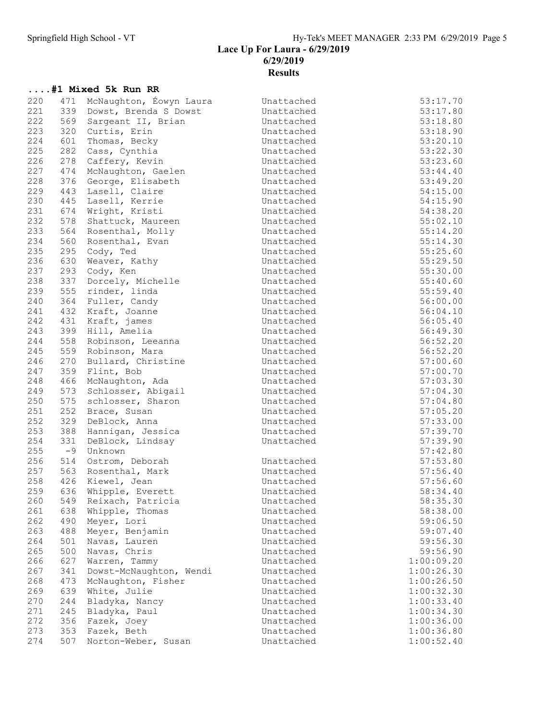### Lace Up For Laura - 6/29/2019 6/29/2019 **Results**

|            |            | #1 Mixed 5k Run RR                  |                          |                      |
|------------|------------|-------------------------------------|--------------------------|----------------------|
| 220        | 471        | McNaughton, Éowyn Laura             | Unattached               | 53:17.70             |
| 221        | 339        | Dowst, Brenda S Dowst               | Unattached               | 53:17.80             |
| 222        | 569        | Sargeant II, Brian                  | Unattached               | 53:18.80             |
| 223        | 320        | Curtis, Erin                        | Unattached               | 53:18.90             |
| 224        | 601        | Thomas, Becky                       | Unattached               | 53:20.10             |
| 225        | 282        | Cass, Cynthia                       | Unattached               | 53:22.30             |
| 226        | 278        | Caffery, Kevin                      | Unattached               | 53:23.60             |
| 227        | 474        | McNaughton, Gaelen                  | Unattached               | 53:44.40             |
| 228        | 376        | George, Elisabeth                   | Unattached               | 53:49.20             |
| 229        | 443        | Lasell, Claire                      | Unattached               | 54:15.00             |
| 230        | 445        | Lasell, Kerrie                      | Unattached               | 54:15.90             |
| 231        | 674        | Wright, Kristi                      | Unattached               | 54:38.20             |
| 232        | 578        | Shattuck, Maureen                   | Unattached               | 55:02.10             |
| 233        | 564        | Rosenthal, Molly                    | Unattached               | 55:14.20             |
| 234        | 560        | Rosenthal, Evan                     | Unattached               | 55:14.30             |
| 235        | 295        | Cody, Ted                           | Unattached               | 55:25.60             |
| 236        | 630        | Weaver, Kathy                       | Unattached               | 55:29.50             |
| 237        | 293        | Cody, Ken                           | Unattached               | 55:30.00             |
| 238        | 337        | Dorcely, Michelle                   | Unattached               | 55:40.60             |
| 239        | 555        | rinder, linda                       | Unattached               | 55:59.40             |
| 240        | 364        | Fuller, Candy                       | Unattached               | 56:00.00             |
| 241        | 432        | Kraft, Joanne                       | Unattached               | 56:04.10             |
| 242        | 431        | Kraft, james                        | Unattached               | 56:05.40             |
| 243        | 399        | Hill, Amelia                        | Unattached               | 56:49.30             |
| 244        | 558<br>559 | Robinson, Leeanna<br>Robinson, Mara | Unattached               | 56:52.20             |
| 245<br>246 | 270        |                                     | Unattached<br>Unattached | 56:52.20             |
| 247        | 359        | Bullard, Christine<br>Flint, Bob    | Unattached               | 57:00.60<br>57:00.70 |
| 248        | 466        | McNaughton, Ada                     | Unattached               | 57:03.30             |
| 249        | 573        | Schlosser, Abigail                  | Unattached               | 57:04.30             |
| 250        | 575        | schlosser, Sharon                   | Unattached               | 57:04.80             |
| 251        | 252        | Brace, Susan                        | Unattached               | 57:05.20             |
| 252        | 329        | DeBlock, Anna                       | Unattached               | 57:33.00             |
| 253        | 388        | Hannigan, Jessica                   | Unattached               | 57:39.70             |
| 254        | 331        | DeBlock, Lindsay                    | Unattached               | 57:39.90             |
| 255        | $-9$       | Unknown                             |                          | 57:42.80             |
| 256        | 514        | Ostrom, Deborah                     | Unattached               | 57:53.80             |
| 257        |            | 563 Rosenthal, Mark                 | Unattached               | 57:56.40             |
| 258        | 426        | Kiewel, Jean                        | Unattached               | 57:56.60             |
| 259        |            | 636 Whipple, Everett                | Unattached               | 58:34.40             |
| 260        | 549        | Reixach, Patricia                   | Unattached               | 58:35.30             |
| 261        | 638        | Whipple, Thomas                     | Unattached               | 58:38.00             |
| 262        | 490        | Meyer, Lori                         | Unattached               | 59:06.50             |
| 263        | 488        | Meyer, Benjamin                     | Unattached               | 59:07.40             |
| 264        | 501        | Navas, Lauren                       | Unattached               | 59:56.30             |
| 265        | 500        | Navas, Chris                        | Unattached               | 59:56.90             |
| 266        | 627        | Warren, Tammy                       | Unattached               | 1:00:09.20           |
| 267        | 341        | Dowst-McNaughton, Wendi             | Unattached               | 1:00:26.30           |
| 268        | 473        | McNaughton, Fisher                  | Unattached               | 1:00:26.50           |
| 269        | 639        | White, Julie                        | Unattached               | 1:00:32.30           |
| 270        | 244        | Bladyka, Nancy                      | Unattached               | 1:00:33.40           |
| 271        | 245        | Bladyka, Paul                       | Unattached               | 1:00:34.30           |
| 272        | 356        | Fazek, Joey                         | Unattached               | 1:00:36.00           |
| 273        | 353        | Fazek, Beth                         | Unattached               | 1:00:36.80           |
| 274        | 507        | Norton-Weber, Susan                 | Unattached               | 1:00:52.40           |